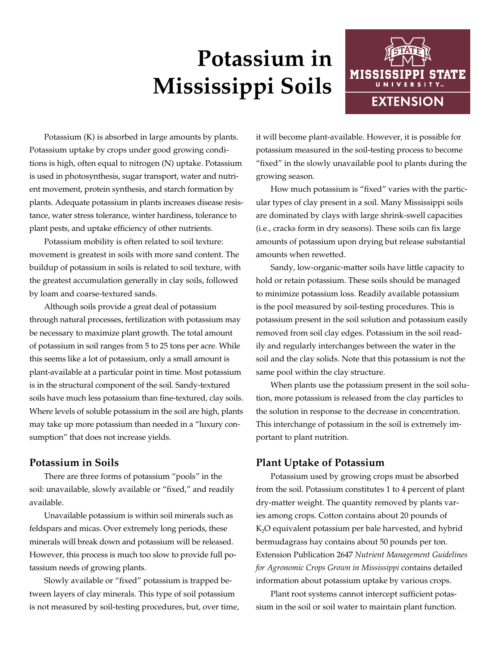# **Potassium in Mississippi Soils**



Potassium (K) is absorbed in large amounts by plants. Potassium uptake by crops under good growing conditions is high, often equal to nitrogen (N) uptake. Potassium is used in photosynthesis, sugar transport, water and nutrient movement, protein synthesis, and starch formation by plants. Adequate potassium in plants increases disease resistance, water stress tolerance, winter hardiness, tolerance to plant pests, and uptake efficiency of other nutrients.

Potassium mobility is often related to soil texture: movement is greatest in soils with more sand content. The buildup of potassium in soils is related to soil texture, with the greatest accumulation generally in clay soils, followed by loam and coarse-textured sands.

Although soils provide a great deal of potassium through natural processes, fertilization with potassium may be necessary to maximize plant growth. The total amount of potassium in soil ranges from 5 to 25 tons per acre. While this seems like a lot of potassium, only a small amount is plant-available at a particular point in time. Most potassium is in the structural component of the soil. Sandy-textured soils have much less potassium than fine-textured, clay soils. Where levels of soluble potassium in the soil are high, plants may take up more potassium than needed in a "luxury consumption" that does not increase yields.

### **Potassium in Soils**

There are three forms of potassium "pools" in the soil: unavailable, slowly available or "fixed," and readily available.

Unavailable potassium is within soil minerals such as feldspars and micas. Over extremely long periods, these minerals will break down and potassium will be released. However, this process is much too slow to provide full potassium needs of growing plants.

Slowly available or "fixed" potassium is trapped between layers of clay minerals. This type of soil potassium is not measured by soil-testing procedures, but, over time, it will become plant-available. However, it is possible for potassium measured in the soil-testing process to become "fixed" in the slowly unavailable pool to plants during the growing season.

How much potassium is "fixed" varies with the particular types of clay present in a soil. Many Mississippi soils are dominated by clays with large shrink-swell capacities (i.e., cracks form in dry seasons). These soils can fix large amounts of potassium upon drying but release substantial amounts when rewetted.

Sandy, low-organic-matter soils have little capacity to hold or retain potassium. These soils should be managed to minimize potassium loss. Readily available potassium is the pool measured by soil-testing procedures. This is potassium present in the soil solution and potassium easily removed from soil clay edges. Potassium in the soil readily and regularly interchanges between the water in the soil and the clay solids. Note that this potassium is not the same pool within the clay structure.

When plants use the potassium present in the soil solution, more potassium is released from the clay particles to the solution in response to the decrease in concentration. This interchange of potassium in the soil is extremely important to plant nutrition.

## **Plant Uptake of Potassium**

Potassium used by growing crops must be absorbed from the soil. Potassium constitutes 1 to 4 percent of plant dry-matter weight. The quantity removed by plants varies among crops. Cotton contains about 20 pounds of K2O equivalent potassium per bale harvested, and hybrid bermudagrass hay contains about 50 pounds per ton. Extension Publication 2647 *Nutrient Management Guidelines for Agronomic Crops Grown in Mississippi* contains detailed information about potassium uptake by various crops.

Plant root systems cannot intercept sufficient potassium in the soil or soil water to maintain plant function.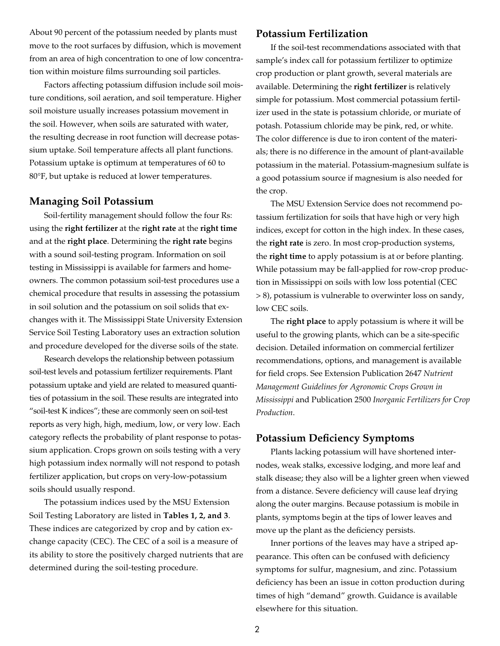About 90 percent of the potassium needed by plants must move to the root surfaces by diffusion, which is movement from an area of high concentration to one of low concentration within moisture films surrounding soil particles.

Factors affecting potassium diffusion include soil moisture conditions, soil aeration, and soil temperature. Higher soil moisture usually increases potassium movement in the soil. However, when soils are saturated with water, the resulting decrease in root function will decrease potassium uptake. Soil temperature affects all plant functions. Potassium uptake is optimum at temperatures of 60 to 80°F, but uptake is reduced at lower temperatures.

#### **Managing Soil Potassium**

Soil-fertility management should follow the four Rs: using the **right fertilizer** at the **right rate** at the **right time**  and at the **right place**. Determining the **right rate** begins with a sound soil-testing program. Information on soil testing in Mississippi is available for farmers and homeowners. The common potassium soil-test procedures use a chemical procedure that results in assessing the potassium in soil solution and the potassium on soil solids that exchanges with it. The Mississippi State University Extension Service Soil Testing Laboratory uses an extraction solution and procedure developed for the diverse soils of the state.

Research develops the relationship between potassium soil-test levels and potassium fertilizer requirements. Plant potassium uptake and yield are related to measured quantities of potassium in the soil. These results are integrated into "soil-test K indices"; these are commonly seen on soil-test reports as very high, high, medium, low, or very low. Each category reflects the probability of plant response to potassium application. Crops grown on soils testing with a very high potassium index normally will not respond to potash fertilizer application, but crops on very-low-potassium soils should usually respond.

The potassium indices used by the MSU Extension Soil Testing Laboratory are listed in **Tables 1, 2, and 3**. These indices are categorized by crop and by cation exchange capacity (CEC). The CEC of a soil is a measure of its ability to store the positively charged nutrients that are determined during the soil-testing procedure.

#### **Potassium Fertilization**

If the soil-test recommendations associated with that sample's index call for potassium fertilizer to optimize crop production or plant growth, several materials are available. Determining the **right fertilizer** is relatively simple for potassium. Most commercial potassium fertilizer used in the state is potassium chloride, or muriate of potash. Potassium chloride may be pink, red, or white. The color difference is due to iron content of the materials; there is no difference in the amount of plant-available potassium in the material. Potassium-magnesium sulfate is a good potassium source if magnesium is also needed for the crop.

The MSU Extension Service does not recommend potassium fertilization for soils that have high or very high indices, except for cotton in the high index. In these cases, the **right rate** is zero. In most crop-production systems, the **right time** to apply potassium is at or before planting. While potassium may be fall-applied for row-crop production in Mississippi on soils with low loss potential (CEC > 8), potassium is vulnerable to overwinter loss on sandy, low CEC soils.

The **right place** to apply potassium is where it will be useful to the growing plants, which can be a site-specific decision. Detailed information on commercial fertilizer recommendations, options, and management is available for field crops. See Extension [Publication 2647](http://extension.msstate.edu/publications/publications/nutrient-management-guidelines-for-agronomic-crops-grown-mississippi) *Nutrient [Management Guidelines for Agronomic Crops Grown in](http://extension.msstate.edu/publications/publications/nutrient-management-guidelines-for-agronomic-crops-grown-mississippi)  [Mississippi](http://extension.msstate.edu/publications/publications/nutrient-management-guidelines-for-agronomic-crops-grown-mississippi)* and Publication 2500 *[Inorganic Fertilizers for Crop](http://extension.msstate.edu/publications/publications/inorganic-fertilizers-for-crop-production)  [Production](http://extension.msstate.edu/publications/publications/inorganic-fertilizers-for-crop-production)*.

#### **Potassium Deficiency Symptoms**

Plants lacking potassium will have shortened internodes, weak stalks, excessive lodging, and more leaf and stalk disease; they also will be a lighter green when viewed from a distance. Severe deficiency will cause leaf drying along the outer margins. Because potassium is mobile in plants, symptoms begin at the tips of lower leaves and move up the plant as the deficiency persists.

Inner portions of the leaves may have a striped appearance. This often can be confused with deficiency symptoms for sulfur, magnesium, and zinc. Potassium deficiency has been an issue in cotton production during times of high "demand" growth. Guidance is available elsewhere for this situation.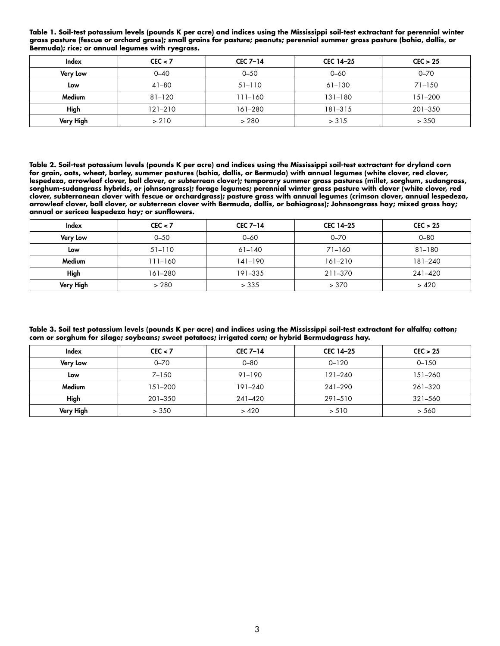| Index           | CEC < 7     | <b>CEC 7-14</b> | CEC 14-25   | CEC > 25   |  |
|-----------------|-------------|-----------------|-------------|------------|--|
| <b>Very Low</b> | $0 - 40$    | $0 - 50$        | $0 - 60$    | $0 - 70$   |  |
| Low             | $41 - 80$   | $51 - 110$      | $61 - 130$  | $71 - 150$ |  |
| Medium          | $81 - 120$  | $111 - 160$     | $131 - 180$ | 151-200    |  |
| High            | $121 - 210$ | 161-280         | 181-315     | 201-350    |  |
| Very High       | > 210       | > 280           | > 315       | > 350      |  |

**Table 1. Soil-test potassium levels (pounds K per acre) and indices using the Mississippi soil-test extractant for perennial winter grass pasture (fescue or orchard grass); small grains for pasture; peanuts; perennial summer grass pasture (bahia, dallis, or Bermuda); rice; or annual legumes with ryegrass.**

**Table 2. Soil-test potassium levels (pounds K per acre) and indices using the Mississippi soil-test extractant for dryland corn for grain, oats, wheat, barley, summer pastures (bahia, dallis, or Bermuda) with annual legumes (white clover, red clover, lespedeza, arrowleaf clover, ball clover, or subterrean clover); temporary summer grass pastures (millet, sorghum, sudangrass, sorghum-sudangrass hybrids, or johnsongrass); forage legumes; perennial winter grass pasture with clover (white clover, red clover, subterranean clover with fescue or orchardgrass); pasture grass with annual legumes (crimson clover, annual lespedeza, arrowleaf clover, ball clover, or subterrean clover with Bermuda, dallis, or bahiagrass); Johnsongrass hay; mixed grass hay; annual or sericea lespedeza hay; or sunflowers.**

| Index            | CEC < 7    | <b>CEC 7-14</b> | CEC 14-25  | CEC > 25 |
|------------------|------------|-----------------|------------|----------|
| <b>Very Low</b>  | $0 - 50$   | $0 - 60$        | $0 - 70$   | $0 - 80$ |
| Low              | $51 - 110$ | $61 - 140$      | $71 - 160$ | 81-180   |
| Medium           | 111–160    | 141-190         | 161-210    | 181-240  |
| High             | 161-280    | 191-335         | 211-370    | 241-420  |
| <b>Very High</b> | > 280      | > 335           | > 370      | > 420    |

**Table 3. Soil test potassium levels (pounds K per acre) and indices using the Mississippi soil-test extractant for alfalfa; cotton; corn or sorghum for silage; soybeans; sweet potatoes; irrigated corn; or hybrid Bermudagrass hay.**

| Index            | CEC < 7   | <b>CEC 7-14</b> | CEC 14-25   | CEC > 25  |
|------------------|-----------|-----------------|-------------|-----------|
| <b>Very Low</b>  | $0 - 70$  | $0 - 80$        | $0 - 120$   | $0 - 150$ |
| Low              | $7 - 150$ | 91-190          | $121 - 240$ | 151-260   |
| Medium           | 151–200   | 191-240         | 241-290     | 261-320   |
| High             | 201-350   | 241-420         | 291-510     | 321-560   |
| <b>Very High</b> | > 350     | >420            | > 510       | > 560     |